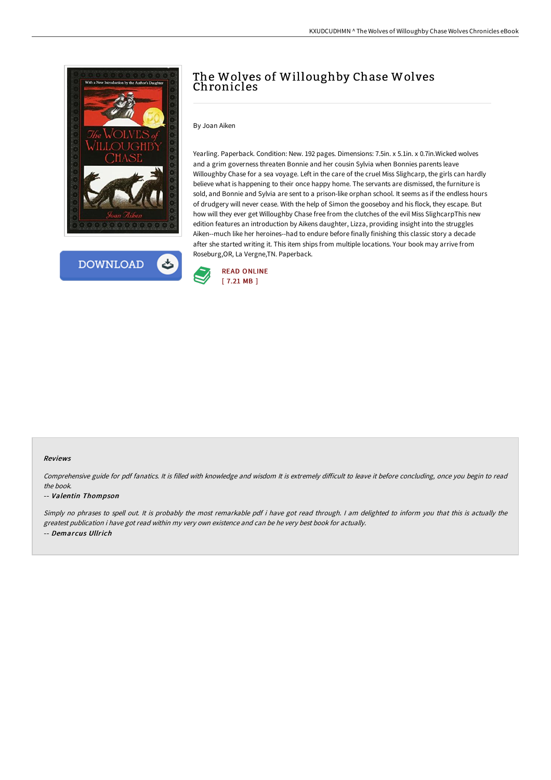



# The Wolves of Willoughby Chase Wolves Chronicles

By Joan Aiken

Yearling. Paperback. Condition: New. 192 pages. Dimensions: 7.5in. x 5.1in. x 0.7in.Wicked wolves and a grim governess threaten Bonnie and her cousin Sylvia when Bonnies parents leave Willoughby Chase for a sea voyage. Left in the care of the cruel Miss Slighcarp, the girls can hardly believe what is happening to their once happy home. The servants are dismissed, the furniture is sold, and Bonnie and Sylvia are sent to a prison-like orphan school. It seems as if the endless hours of drudgery will never cease. With the help of Simon the gooseboy and his flock, they escape. But how will they ever get Willoughby Chase free from the clutches of the evil Miss SlighcarpThis new edition features an introduction by Aikens daughter, Lizza, providing insight into the struggles Aiken--much like her heroines--had to endure before finally finishing this classic story a decade after she started writing it. This item ships from multiple locations. Your book may arrive from Roseburg,OR, La Vergne,TN. Paperback.



#### Reviews

Comprehensive guide for pdf fanatics. It is filled with knowledge and wisdom It is extremely difficult to leave it before concluding, once you begin to read the book.

#### -- Valentin Thompson

Simply no phrases to spell out. It is probably the most remarkable pdf i have got read through. <sup>I</sup> am delighted to inform you that this is actually the greatest publication i have got read within my very own existence and can be he very best book for actually. -- Demarcus Ullrich